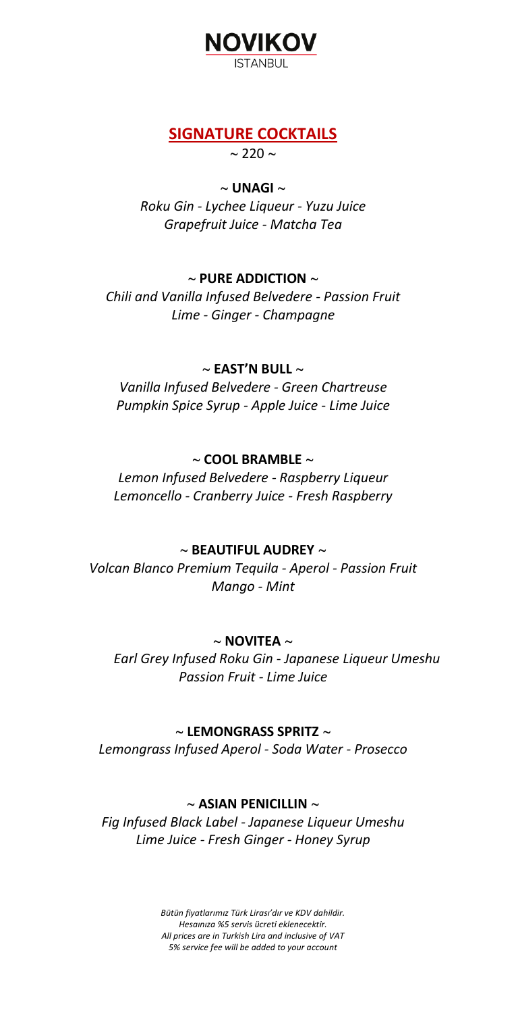

## **SIGNATURE COCKTAILS**

 $\sim$  220  $\sim$ 

#### ~ **UNAGI** ~

*Roku Gin - Lychee Liqueur - Yuzu Juice Grapefruit Juice - Matcha Tea*

### $\sim$  PURE ADDICTION  $\sim$

*Chili and Vanilla Infused Belvedere - Passion Fruit Lime - Ginger - Champagne*

#### ~ **EAST'N BULL** ~

*Vanilla Infused Belvedere - Green Chartreuse Pumpkin Spice Syrup - Apple Juice - Lime Juice*

### ~ **COOL BRAMBLE** ~

*Lemon Infused Belvedere - Raspberry Liqueur Lemoncello - Cranberry Juice - Fresh Raspberry*

### ~ **BEAUTIFUL AUDREY** ~

*Volcan Blanco Premium Tequila - Aperol - Passion Fruit Mango - Mint*

### $\sim$  **NOVITEA**  $\sim$

*Earl Grey Infused Roku Gin - Japanese Liqueur Umeshu Passion Fruit - Lime Juice*

### ~ **LEMONGRASS SPRITZ** ~

*Lemongrass Infused Aperol - Soda Water - Prosecco*

### ~ **ASIAN PENICILLIN** ~

*Fig Infused Black Label - Japanese Liqueur Umeshu Lime Juice - Fresh Ginger - Honey Syrup*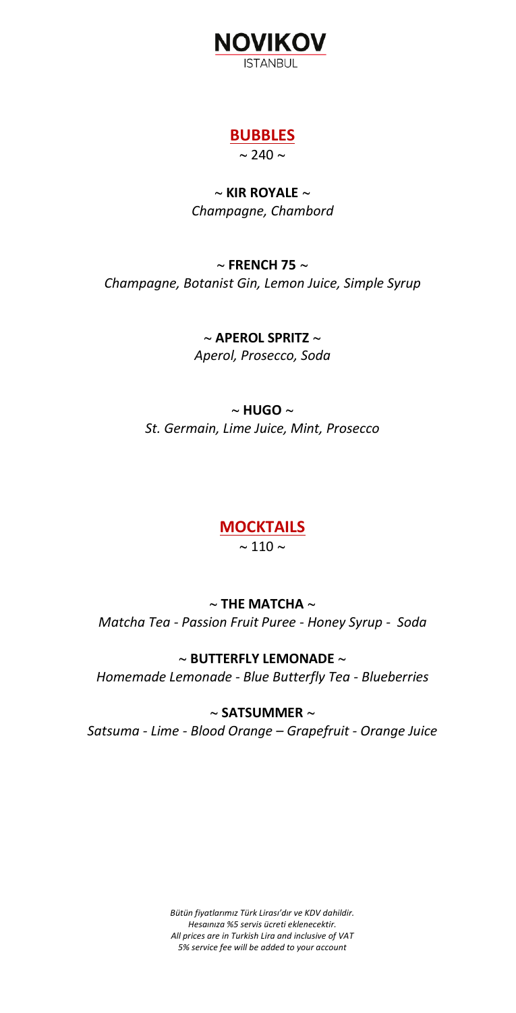

### **BUBBLES**  $\sim$  240  $\sim$

~ **KIR ROYALE** ~ *Champagne, Chambord*

## ~ **FRENCH 75** ~ *Champagne, Botanist Gin, Lemon Juice, Simple Syrup*

~ **APEROL SPRITZ** ~ *Aperol, Prosecco, Soda*

### $\sim$  **HUGO**  $\sim$ *St. Germain, Lime Juice, Mint, Prosecco*

# **MOCKTAILS**

 $\sim$  110  $\sim$ 

# $\sim$  THE MATCHA  $\sim$

*Matcha Tea - Passion Fruit Puree - Honey Syrup - Soda*

### ~ **BUTTERFLY LEMONADE** ~

*Homemade Lemonade - Blue Butterfly Tea - Blueberries*

### ~ **SATSUMMER** ~

*Satsuma - Lime - Blood Orange – Grapefruit - Orange Juice*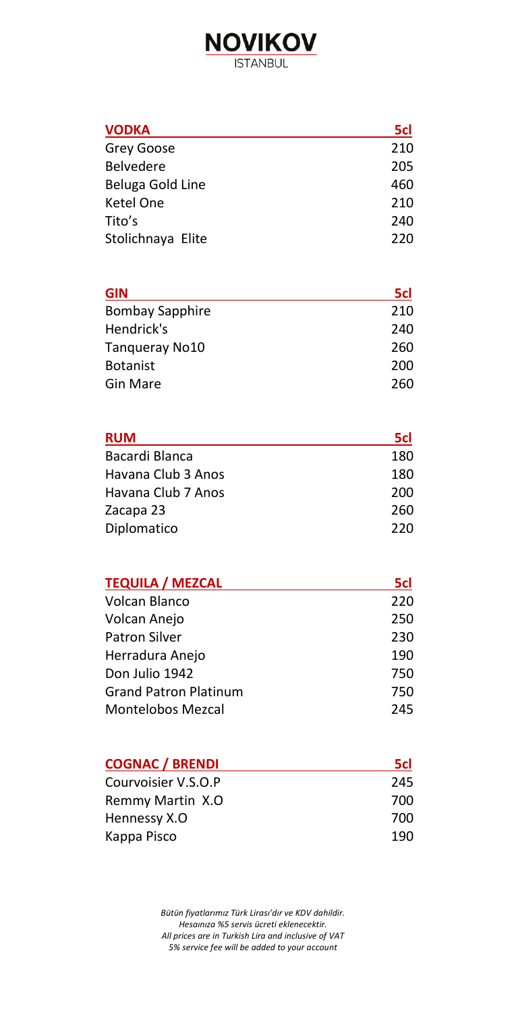# **NOVIKOV ISTANBUL**

## **VODKA 5cl** Grey Goose 210 Belvedere 205 Beluga Gold Line 160<br>
Ketel One 160<br>
210 Ketel One Tito's 240 Stolichnaya Elite 220

| <b>GIN</b>             | 5cl |
|------------------------|-----|
| <b>Bombay Sapphire</b> | 210 |
| Hendrick's             | 240 |
| Tangueray No10         | 260 |
| <b>Botanist</b>        | 200 |
| <b>Gin Mare</b>        | 260 |

| <b>RUM</b>         | 5cl |
|--------------------|-----|
| Bacardi Blanca     | 180 |
| Havana Club 3 Anos | 180 |
| Havana Club 7 Anos | 200 |
| Zacapa 23          | 260 |
| Diplomatico        | 220 |

| <b>TEQUILA / MEZCAL</b>      | 5cl |
|------------------------------|-----|
| Volcan Blanco                | 220 |
| Volcan Anejo                 | 250 |
| <b>Patron Silver</b>         | 230 |
| Herradura Anejo              | 190 |
| Don Julio 1942               | 750 |
| <b>Grand Patron Platinum</b> | 750 |
| Montelobos Mezcal            | 245 |

| <b>COGNAC / BRENDI</b> | 5d  |
|------------------------|-----|
| Courvoisier V.S.O.P    | 245 |
| Remmy Martin X.O       | 700 |
| Hennessy X.O           | 700 |
| Kappa Pisco            | 190 |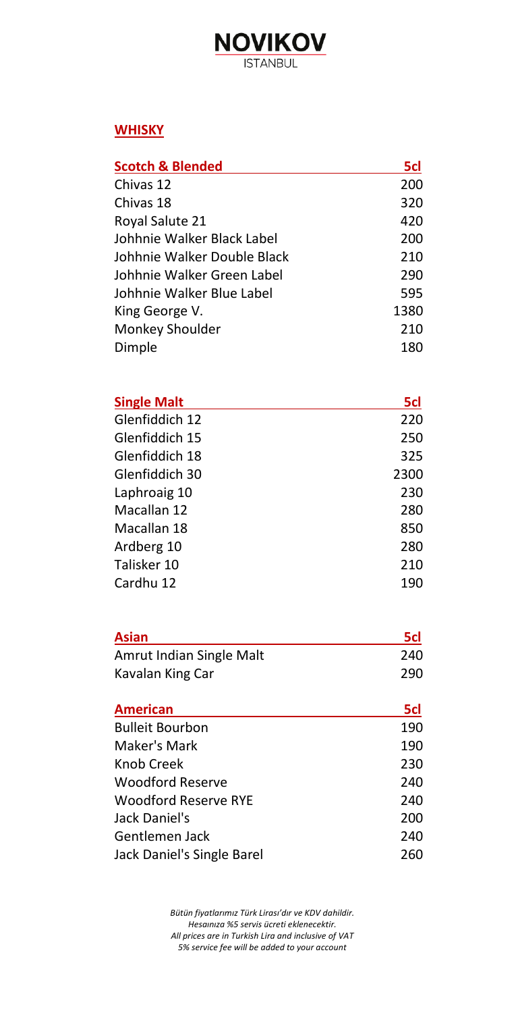# **NOVIKOV ISTANBUL**

### **WHISKY**

| <b>Scotch &amp; Blended</b> | 5cl  |
|-----------------------------|------|
| Chivas 12                   | 200  |
| Chivas 18                   | 320  |
| Royal Salute 21             | 420  |
| Johhnie Walker Black Label  | 200  |
| Johhnie Walker Double Black | 210  |
| Johhnie Walker Green Label  | 290  |
| Johhnie Walker Blue Label   | 595  |
| King George V.              | 1380 |
| Monkey Shoulder             | 210  |
| Dimple                      | 180  |

| <b>Single Malt</b> | 5cl  |
|--------------------|------|
| Glenfiddich 12     | 220  |
| Glenfiddich 15     | 250  |
| Glenfiddich 18     | 325  |
| Glenfiddich 30     | 2300 |
| Laphroaig 10       | 230  |
| Macallan 12        | 280  |
| Macallan 18        | 850  |
| Ardberg 10         | 280  |
| Talisker 10        | 210  |
| Cardhu 12          | 190  |

| <b>Asian</b>             | 5cl |
|--------------------------|-----|
| Amrut Indian Single Malt | 240 |
| Kavalan King Car         | 290 |

| 5cl |
|-----|
| 190 |
| 190 |
| 230 |
| 240 |
| 240 |
| 200 |
| 240 |
| 260 |
|     |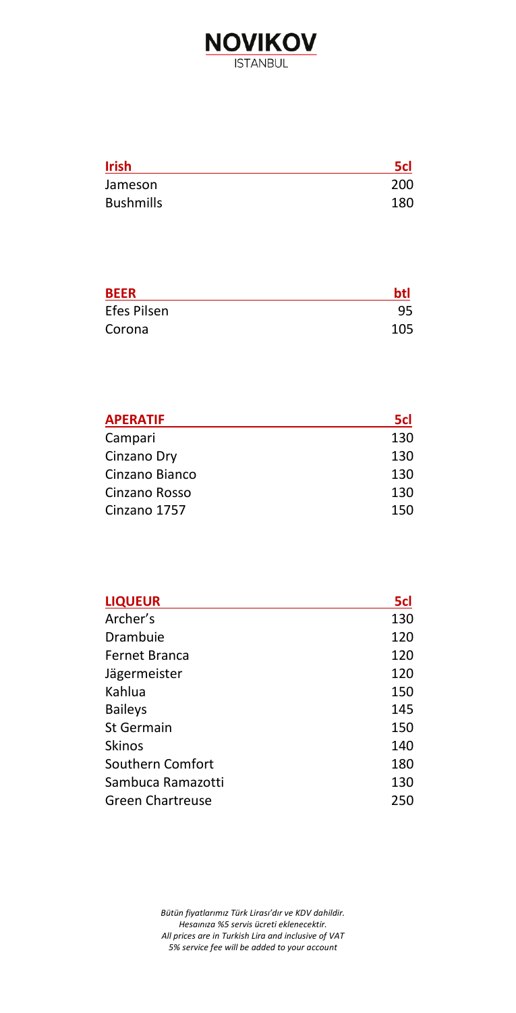

| <b>Irish</b>     | 5d  |
|------------------|-----|
| Jameson          | 200 |
| <b>Bushmills</b> | 180 |

| <b>BEER</b> | btl |
|-------------|-----|
| Efes Pilsen | 95  |
| Corona      | 105 |

| <b>APERATIF</b> | 5cl |
|-----------------|-----|
| Campari         | 130 |
| Cinzano Dry     | 130 |
| Cinzano Bianco  | 130 |
| Cinzano Rosso   | 130 |
| Cinzano 1757    | 150 |

| <b>LIQUEUR</b>          | 5cl |
|-------------------------|-----|
| Archer's                | 130 |
| Drambuie                | 120 |
| Fernet Branca           | 120 |
| Jägermeister            | 120 |
| Kahlua                  | 150 |
| <b>Baileys</b>          | 145 |
| St Germain              | 150 |
| Skinos                  | 140 |
| Southern Comfort        | 180 |
| Sambuca Ramazotti       | 130 |
| <b>Green Chartreuse</b> | 250 |